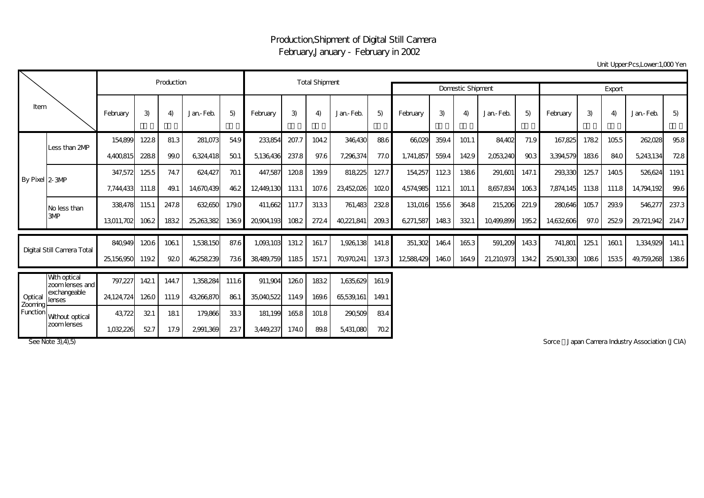## Production,Shipment of Digital Still Camera February,January - February in 2002

Unit Upper:Pcs,Lower:1,000 Yen

| Item                           |                                  |                             | Production |       |            |             | <b>Total Shipment</b> |       |        |                          |        |           |       |       |            |       |            |      |       |            |       |
|--------------------------------|----------------------------------|-----------------------------|------------|-------|------------|-------------|-----------------------|-------|--------|--------------------------|--------|-----------|-------|-------|------------|-------|------------|------|-------|------------|-------|
|                                |                                  |                             |            |       |            |             |                       |       |        | <b>Domestic Shipment</b> | Export |           |       |       |            |       |            |      |       |            |       |
|                                |                                  | February                    | 3)         | 4)    | Jan-Feb.   | 5)          | February              | 3)    | 4)     | Jan-Feb.                 | 5)     | February  | 3)    | 4)    | Jan-Feb.   | 5)    | February   | 3)   | 4)    | Jan-Feb.   | 5)    |
| By Pixel 2-3MP                 |                                  | 154.899                     | 1228       | 81.3  | 281.073    | 54.9        | 233,854               | 207.7 | 104.2  | 346,430                  | 886    | 66029     | 359.4 | 101.1 | 84,402     | 71.9  | 167,825    | 1782 | 1055  | 262,028    | 95.8  |
|                                | Less than 2MP                    | 4,400,815                   | 2288       | 99.0  | 6,324,418  | 501         | 5,136,436             | 237.8 | 97.6   | 7,296,374                | 77.0   | 1,741,857 | 559.4 | 1429  | 2053,240   | 903   | 3,394,579  | 1836 | 84.0  | 5,243,134  | 728   |
|                                |                                  | 347,572                     | 1255       | 74.7  | 624,427    | 701         | 447,587               | 1208  | 139.9  | 818,225                  | 127.7  | 154,257   | 1123  | 1386  | 291,601    | 147.1 | 293,330    | 1257 | 1405  | 526,624    | 119.1 |
|                                |                                  | 7,744,433                   | 111.8      | 49.1  | 14,670,439 | 462         | 12,449,130            | 1131  | 107.6  | 23,452,026               | 1020   | 4,574,985 | 1121  | 101.1 | 8657,834   | 1063  | 7,874,145  | 1138 | 111.8 | 14,794,192 | 99.6  |
|                                | No less than                     | 338478                      | 1151       | 247.8 | 632650     | 179.0       | 411.662               | 117.7 | 3133   | 761,483                  | 2328   | 131,016   | 155.6 | 364.8 | 215,206    | 221.9 | 280,646    | 1057 | 293.9 | 546,277    | 237.3 |
|                                | 3MP                              | 13,011,702                  | 1062       | 1832  | 25,263,382 | 1369        | 20904,193             | 1082  | 2724   | 40,221,841               | 209.3  | 6,271,587 | 1483  | 3321  | 10,499,899 | 1952  | 14,632,606 | 97.0 | 2529  | 29,721,942 | 214.7 |
| Digital Still Camera Total     |                                  | 840.949                     | 1206       | 1061  | 1,538150   | 87.6        | 1.093.103             | 131.2 | 161.7  | 1.926.138                | 141.8  | 351,302   | 1464  | 1653  | 591,209    | 1433  | 741,801    | 1251 | 1601  | 1,334,929  | 141.1 |
|                                |                                  | 25,156,950                  | 119.2      | 920   | 46,258,239 | 736         | 38,489,759            | 1185  | 157.1  | 70,970,241               | 137.3  | 12588429  | 1460  | 164.9 | 21,210,973 | 134.2 | 25,901,330 | 1086 | 1535  | 49,759,268 | 1386  |
| Optical<br>Zooming<br>Function | Wth optical<br>zoom lenses and l | 797,227                     | 1421       | 144.7 | 1,358,284  | 111.6       | 911,904               | 1260  | 1832   | 1,635,629                | 161.9  |           |       |       |            |       |            |      |       |            |       |
|                                | exchangeable<br>lenses           | 24,124,724                  | 1260       | 111.9 | 43,266,870 | 861         | 35,040,522            | 114.9 | 169.6  | 65,539,161               | 149.1  |           |       |       |            |       |            |      |       |            |       |
|                                | Wthout optical                   | 43.722                      | 321        | 181   | 179.866    | 333         | 181,199               | 165.8 | 101.8  | 290,509                  | 834    |           |       |       |            |       |            |      |       |            |       |
|                                | zoom lenses                      | $\sim$ $\sim$ $\sim$ $\sim$ | $- - -$    | $ -$  | $-0.001$   | $\sim$ $-1$ | -------               | .     | $\sim$ | $  -$                    |        |           |       |       |            |       |            |      |       |            |       |

1,032,226 52.7 17.9 2,991,369 23.7 3,449,237 174.0 89.8 5,431,080 70.2

See Note 3), 4), 5) Sorce Japan Camera Industry Association (JCIA)